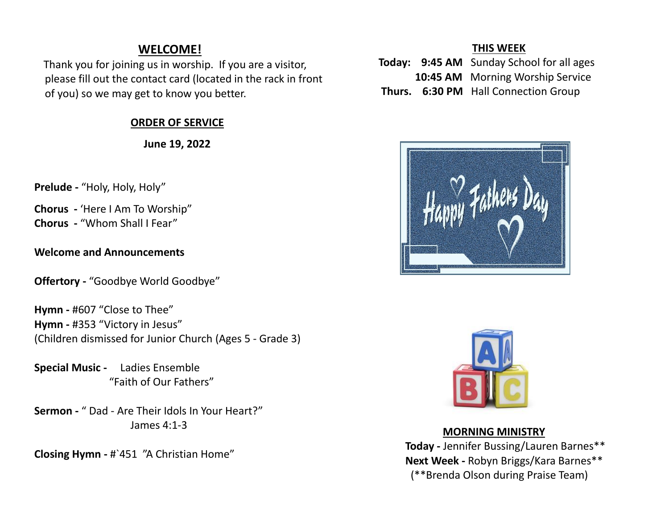# **WELCOME!**

 Thank you for joining us in worship. If you are a visitor, please fill out the contact card (located in the rack in front of you) so we may get to know you better.

## **ORDER OF SERVICE**

 **June 19, 2022**

**Prelude -** "Holy, Holy, Holy"

**Chorus -** 'Here I Am To Worship" **Chorus -** "Whom Shall I Fear"

#### **Welcome and Announcements**

**Offertory -** "Goodbye World Goodbye"

**Hymn -** #607 "Close to Thee" **Hymn -** #353 "Victory in Jesus" (Children dismissed for Junior Church (Ages 5 - Grade 3)

**Special Music -** Ladies Ensemble "Faith of Our Fathers"

**Sermon -** " Dad - Are Their Idols In Your Heart?" James 4:1-3

**Closing Hymn -** #`451 "A Christian Home"

#### **THIS WEEK**

- **Today: 9:45 AM** Sunday School for all ages **10:45 AM** Morning Worship Service
- **Thurs. 6:30 PM** Hall Connection Group





### **MORNING MINISTRY**

 **Today -** Jennifer Bussing/Lauren Barnes\*\* **Next Week -** Robyn Briggs/Kara Barnes\*\* (\*\*Brenda Olson during Praise Team)